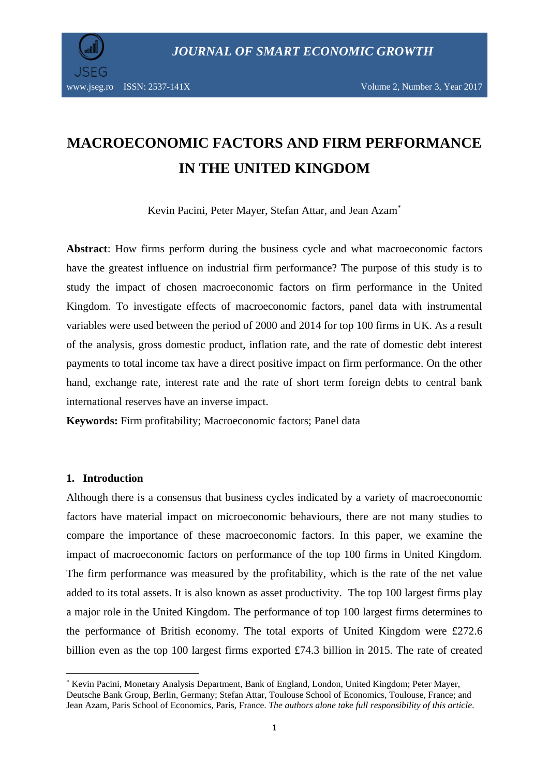

# **MACROECONOMIC FACTORS AND FIRM PERFORMANCE IN THE UNITED KINGDOM**

Kevin Pacini, Peter Mayer, Stefan Attar, and Jean Azam\*

**Abstract**: How firms perform during the business cycle and what macroeconomic factors have the greatest influence on industrial firm performance? The purpose of this study is to study the impact of chosen macroeconomic factors on firm performance in the United Kingdom. To investigate effects of macroeconomic factors, panel data with instrumental variables were used between the period of 2000 and 2014 for top 100 firms in UK. As a result of the analysis, gross domestic product, inflation rate, and the rate of domestic debt interest payments to total income tax have a direct positive impact on firm performance. On the other hand, exchange rate, interest rate and the rate of short term foreign debts to central bank international reserves have an inverse impact.

**Keywords:** Firm profitability; Macroeconomic factors; Panel data

## **1. Introduction**

**.** 

Although there is a consensus that business cycles indicated by a variety of macroeconomic factors have material impact on microeconomic behaviours, there are not many studies to compare the importance of these macroeconomic factors. In this paper, we examine the impact of macroeconomic factors on performance of the top 100 firms in United Kingdom. The firm performance was measured by the profitability, which is the rate of the net value added to its total assets. It is also known as asset productivity. The top 100 largest firms play a major role in the United Kingdom. The performance of top 100 largest firms determines to the performance of British economy. The total exports of United Kingdom were £272.6 billion even as the top 100 largest firms exported £74.3 billion in 2015. The rate of created

<sup>\*</sup> Kevin Pacini, Monetary Analysis Department, Bank of England, London, United Kingdom; Peter Mayer, Deutsche Bank Group, Berlin, Germany; Stefan Attar, Toulouse School of Economics, Toulouse, France; and Jean Azam, Paris School of Economics, Paris, France. *The authors alone take full responsibility of this article*.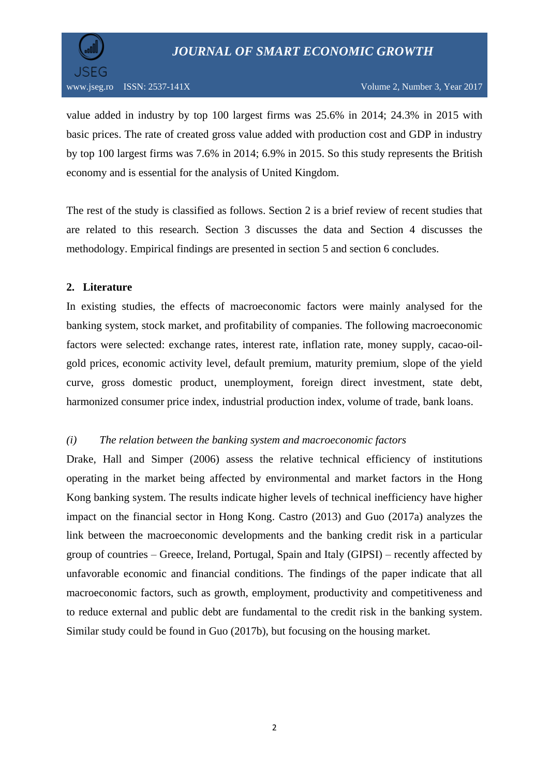

value added in industry by top 100 largest firms was 25.6% in 2014; 24.3% in 2015 with basic prices. The rate of created gross value added with production cost and GDP in industry by top 100 largest firms was 7.6% in 2014; 6.9% in 2015. So this study represents the British economy and is essential for the analysis of United Kingdom.

The rest of the study is classified as follows. Section 2 is a brief review of recent studies that are related to this research. Section 3 discusses the data and Section 4 discusses the methodology. Empirical findings are presented in section 5 and section 6 concludes.

## **2. Literature**

In existing studies, the effects of macroeconomic factors were mainly analysed for the banking system, stock market, and profitability of companies. The following macroeconomic factors were selected: exchange rates, interest rate, inflation rate, money supply, cacao-oilgold prices, economic activity level, default premium, maturity premium, slope of the yield curve, gross domestic product, unemployment, foreign direct investment, state debt, harmonized consumer price index, industrial production index, volume of trade, bank loans.

# *(i) The relation between the banking system and macroeconomic factors*

Drake, Hall and Simper (2006) assess the relative technical efficiency of institutions operating in the market being affected by environmental and market factors in the Hong Kong banking system. The results indicate higher levels of technical inefficiency have higher impact on the financial sector in Hong Kong. Castro (2013) and Guo (2017a) analyzes the link between the macroeconomic developments and the banking credit risk in a particular group of countries – Greece, Ireland, Portugal, Spain and Italy (GIPSI) – recently affected by unfavorable economic and financial conditions. The findings of the paper indicate that all macroeconomic factors, such as growth, employment, productivity and competitiveness and to reduce external and public debt are fundamental to the credit risk in the banking system. Similar study could be found in Guo (2017b), but focusing on the housing market.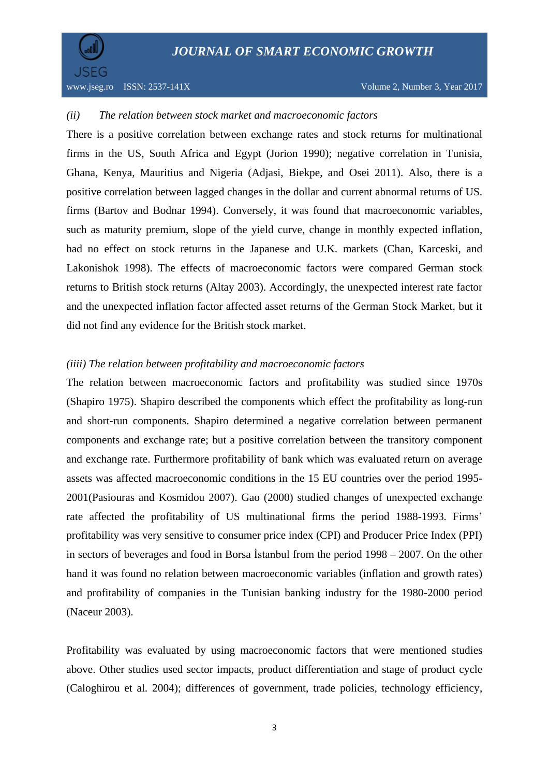

## *(ii) The relation between stock market and macroeconomic factors*

There is a positive correlation between exchange rates and stock returns for multinational firms in the US, South Africa and Egypt (Jorion 1990); negative correlation in Tunisia, Ghana, Kenya, Mauritius and Nigeria (Adjasi, Biekpe, and Osei 2011). Also, there is a positive correlation between lagged changes in the dollar and current abnormal returns of US. firms (Bartov and Bodnar 1994). Conversely, it was found that macroeconomic variables, such as maturity premium, slope of the yield curve, change in monthly expected inflation, had no effect on stock returns in the Japanese and U.K. markets (Chan, Karceski, and Lakonishok 1998). The effects of macroeconomic factors were compared German stock returns to British stock returns (Altay 2003). Accordingly, the unexpected interest rate factor and the unexpected inflation factor affected asset returns of the German Stock Market, but it did not find any evidence for the British stock market.

## *(iiii) The relation between profitability and macroeconomic factors*

The relation between macroeconomic factors and profitability was studied since 1970s (Shapiro 1975). Shapiro described the components which effect the profitability as long-run and short-run components. Shapiro determined a negative correlation between permanent components and exchange rate; but a positive correlation between the transitory component and exchange rate. Furthermore profitability of bank which was evaluated return on average assets was affected macroeconomic conditions in the 15 EU countries over the period 1995- 2001(Pasiouras and Kosmidou 2007). Gao (2000) studied changes of unexpected exchange rate affected the profitability of US multinational firms the period 1988-1993. Firms' profitability was very sensitive to consumer price index (CPI) and Producer Price Index (PPI) in sectors of beverages and food in Borsa İstanbul from the period 1998 – 2007. On the other hand it was found no relation between macroeconomic variables (inflation and growth rates) and profitability of companies in the Tunisian banking industry for the 1980-2000 period (Naceur 2003).

Profitability was evaluated by using macroeconomic factors that were mentioned studies above. Other studies used sector impacts, product differentiation and stage of product cycle (Caloghirou et al. 2004); differences of government, trade policies, technology efficiency,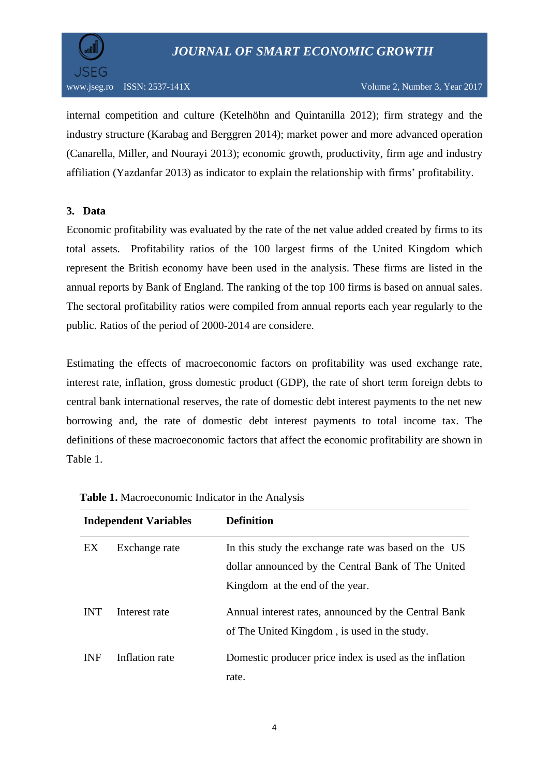

internal competition and culture (Ketelhöhn and Quintanilla 2012); firm strategy and the industry structure (Karabag and Berggren 2014); market power and more advanced operation (Canarella, Miller, and Nourayi 2013); economic growth, productivity, firm age and industry affiliation (Yazdanfar 2013) as indicator to explain the relationship with firms' profitability.

# **3. Data**

Economic profitability was evaluated by the rate of the net value added created by firms to its total assets. Profitability ratios of the 100 largest firms of the United Kingdom which represent the British economy have been used in the analysis. These firms are listed in the annual reports by Bank of England. The ranking of the top 100 firms is based on annual sales. The sectoral profitability ratios were compiled from annual reports each year regularly to the public. Ratios of the period of 2000-2014 are considere.

Estimating the effects of macroeconomic factors on profitability was used exchange rate, interest rate, inflation, gross domestic product (GDP), the rate of short term foreign debts to central bank international reserves, the rate of domestic debt interest payments to the net new borrowing and, the rate of domestic debt interest payments to total income tax. The definitions of these macroeconomic factors that affect the economic profitability are shown in Table 1.

| <b>Independent Variables</b> |                | <b>Definition</b>                                                                                    |  |
|------------------------------|----------------|------------------------------------------------------------------------------------------------------|--|
| EX                           | Exchange rate  | In this study the exchange rate was based on the US                                                  |  |
|                              |                | dollar announced by the Central Bank of The United                                                   |  |
|                              |                | Kingdom at the end of the year.                                                                      |  |
| <b>INT</b>                   | Interest rate  | Annual interest rates, announced by the Central Bank<br>of The United Kingdom, is used in the study. |  |
| <b>INF</b>                   | Inflation rate | Domestic producer price index is used as the inflation<br>rate.                                      |  |

| Table 1. Macroeconomic Indicator in the Analysis |  |  |
|--------------------------------------------------|--|--|
|--------------------------------------------------|--|--|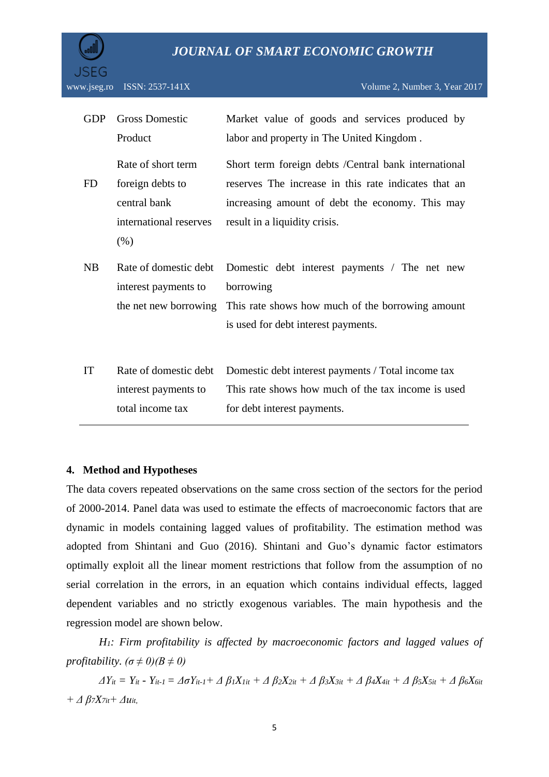

| <b>GDP</b> | <b>Gross Domestic</b>  | Market value of goods and services produced by        |
|------------|------------------------|-------------------------------------------------------|
|            | Product                | labor and property in The United Kingdom.             |
|            | Rate of short term     | Short term foreign debts / Central bank international |
| <b>FD</b>  | foreign debts to       | reserves The increase in this rate indicates that an  |
|            | central bank           | increasing amount of debt the economy. This may       |
|            | international reserves | result in a liquidity crisis.                         |
|            | (% )                   |                                                       |
| NB         | Rate of domestic debt  | Domestic debt interest payments / The net new         |
|            | interest payments to   | borrowing                                             |
|            | the net new borrowing  | This rate shows how much of the borrowing amount      |
|            |                        | is used for debt interest payments.                   |
|            |                        |                                                       |
| IT         | Rate of domestic debt  | Domestic debt interest payments / Total income tax    |
|            | interest payments to   | This rate shows how much of the tax income is used    |
|            | total income tax       | for debt interest payments.                           |

#### **4. Method and Hypotheses**

The data covers repeated observations on the same cross section of the sectors for the period of 2000-2014. Panel data was used to estimate the effects of macroeconomic factors that are dynamic in models containing lagged values of profitability. The estimation method was adopted from Shintani and Guo (2016). Shintani and Guo's dynamic factor estimators optimally exploit all the linear moment restrictions that follow from the assumption of no serial correlation in the errors, in an equation which contains individual effects, lagged dependent variables and no strictly exogenous variables. The main hypothesis and the regression model are shown below.

*H1: Firm profitability is affected by macroeconomic factors and lagged values of profitability.*  $(\sigma \neq 0)(B \neq 0)$ 

 $\Delta Y_{it} = Y_{it} - Y_{it-1} = \Delta \sigma Y_{it-1} + \Delta \beta_1 X_{lit} + \Delta \beta_2 X_{2it} + \Delta \beta_3 X_{3it} + \Delta \beta_4 X_{4it} + \Delta \beta_5 X_{5it} + \Delta \beta_6 X_{6it}$ *+ Δ β7X7it+ Δuit,*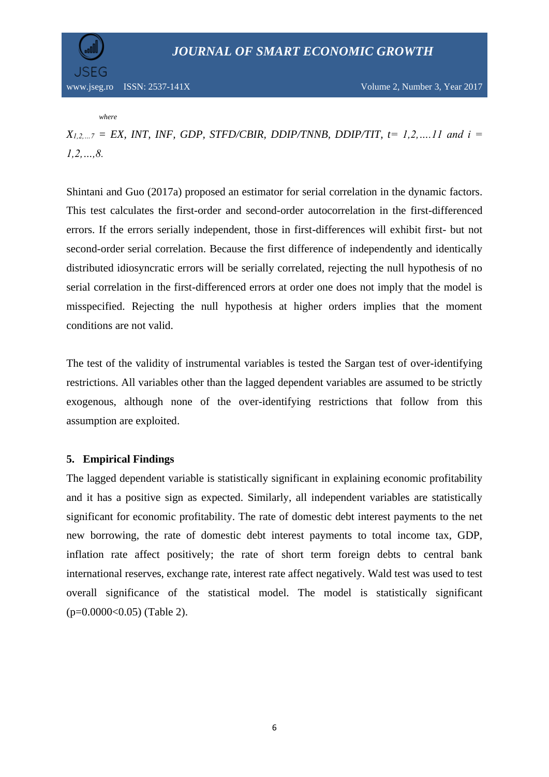

*where*

 $X_{1,2,...7} = EX$ , INT, INF, GDP, STFD/CBIR, DDIP/TNNB, DDIP/TIT,  $t = 1,2,...11$  and  $i =$ *1,2,…,8.* 

Shintani and Guo (2017a) proposed an estimator for serial correlation in the dynamic factors. This test calculates the first-order and second-order autocorrelation in the first-differenced errors. If the errors serially independent, those in first-differences will exhibit first- but not second-order serial correlation. Because the first difference of independently and identically distributed idiosyncratic errors will be serially correlated, rejecting the null hypothesis of no serial correlation in the first-differenced errors at order one does not imply that the model is misspecified. Rejecting the null hypothesis at higher orders implies that the moment conditions are not valid.

The test of the validity of instrumental variables is tested the Sargan test of over-identifying restrictions. All variables other than the lagged dependent variables are assumed to be strictly exogenous, although none of the over-identifying restrictions that follow from this assumption are exploited.

# **5. Empirical Findings**

The lagged dependent variable is statistically significant in explaining economic profitability and it has a positive sign as expected. Similarly, all independent variables are statistically significant for economic profitability. The rate of domestic debt interest payments to the net new borrowing, the rate of domestic debt interest payments to total income tax, GDP, inflation rate affect positively; the rate of short term foreign debts to central bank international reserves, exchange rate, interest rate affect negatively. Wald test was used to test overall significance of the statistical model. The model is statistically significant  $(p=0.0000<0.05)$  (Table 2).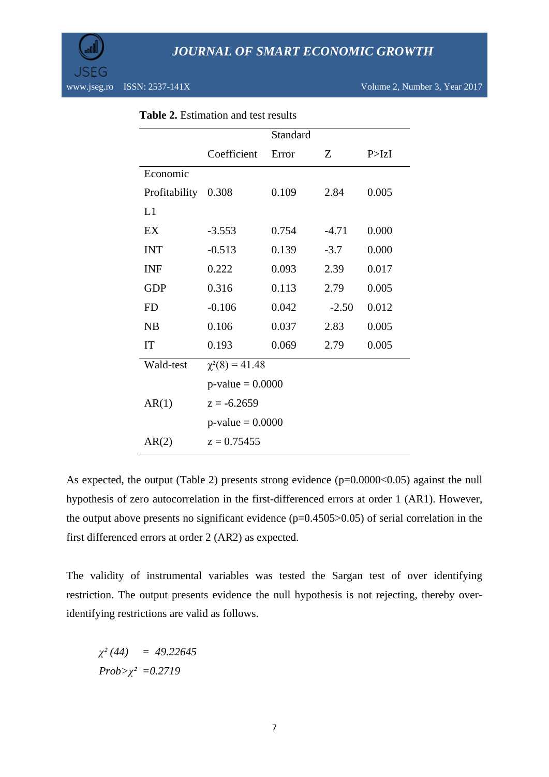

|               |                                      | Standard |         |         |  |
|---------------|--------------------------------------|----------|---------|---------|--|
|               | Coefficient                          | Error    | Z       | P > IzI |  |
| Economic      |                                      |          |         |         |  |
| Profitability | 0.308                                | 0.109    | 2.84    | 0.005   |  |
| L1            |                                      |          |         |         |  |
| EX            | $-3.553$                             | 0.754    | $-4.71$ | 0.000   |  |
| <b>INT</b>    | $-0.513$                             | 0.139    | $-3.7$  | 0.000   |  |
| <b>INF</b>    | 0.222                                | 0.093    | 2.39    | 0.017   |  |
| <b>GDP</b>    | 0.316                                | 0.113    | 2.79    | 0.005   |  |
| <b>FD</b>     | $-0.106$                             | 0.042    | $-2.50$ | 0.012   |  |
| NB            | 0.106                                | 0.037    | 2.83    | 0.005   |  |
| IT            | 0.193                                | 0.069    | 2.79    | 0.005   |  |
| Wald-test     | $\chi^2(8) = 41.48$                  |          |         |         |  |
|               | $p$ -value = 0.0000                  |          |         |         |  |
| AR(1)         | $z = -6.2659$<br>$p$ -value = 0.0000 |          |         |         |  |
|               |                                      |          |         |         |  |
| AR(2)         | $z = 0.75455$                        |          |         |         |  |

|  | <b>Table 2.</b> Estimation and test results |  |  |  |
|--|---------------------------------------------|--|--|--|
|--|---------------------------------------------|--|--|--|

As expected, the output (Table 2) presents strong evidence (p=0.0000<0.05) against the null hypothesis of zero autocorrelation in the first-differenced errors at order 1 (AR1). However, the output above presents no significant evidence  $(p=0.4505>0.05)$  of serial correlation in the first differenced errors at order 2 (AR2) as expected.

The validity of instrumental variables was tested the Sargan test of over identifying restriction. The output presents evidence the null hypothesis is not rejecting, thereby overidentifying restrictions are valid as follows.

*χ² (44) = 49.22645 Prob>χ² =0.2719*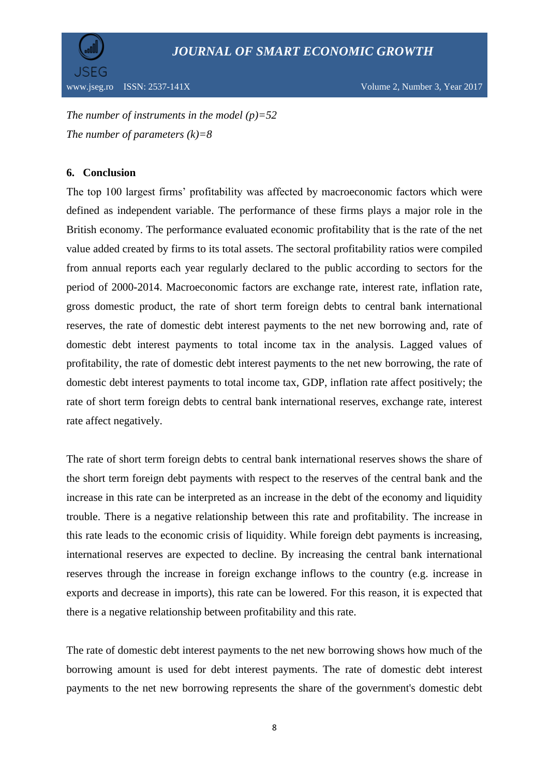

*The number of instruments in the model (p)=52 The number of parameters (k)=8*

# **6. Conclusion**

The top 100 largest firms' profitability was affected by macroeconomic factors which were defined as independent variable. The performance of these firms plays a major role in the British economy. The performance evaluated economic profitability that is the rate of the net value added created by firms to its total assets. The sectoral profitability ratios were compiled from annual reports each year regularly declared to the public according to sectors for the period of 2000-2014. Macroeconomic factors are exchange rate, interest rate, inflation rate, gross domestic product, the rate of short term foreign debts to central bank international reserves, the rate of domestic debt interest payments to the net new borrowing and, rate of domestic debt interest payments to total income tax in the analysis. Lagged values of profitability, the rate of domestic debt interest payments to the net new borrowing, the rate of domestic debt interest payments to total income tax, GDP, inflation rate affect positively; the rate of short term foreign debts to central bank international reserves, exchange rate, interest rate affect negatively.

The rate of short term foreign debts to central bank international reserves shows the share of the short term foreign debt payments with respect to the reserves of the central bank and the increase in this rate can be interpreted as an increase in the debt of the economy and liquidity trouble. There is a negative relationship between this rate and profitability. The increase in this rate leads to the economic crisis of liquidity. While foreign debt payments is increasing, international reserves are expected to decline. By increasing the central bank international reserves through the increase in foreign exchange inflows to the country (e.g. increase in exports and decrease in imports), this rate can be lowered. For this reason, it is expected that there is a negative relationship between profitability and this rate.

The rate of domestic debt interest payments to the net new borrowing shows how much of the borrowing amount is used for debt interest payments. The rate of domestic debt interest payments to the net new borrowing represents the share of the government's domestic debt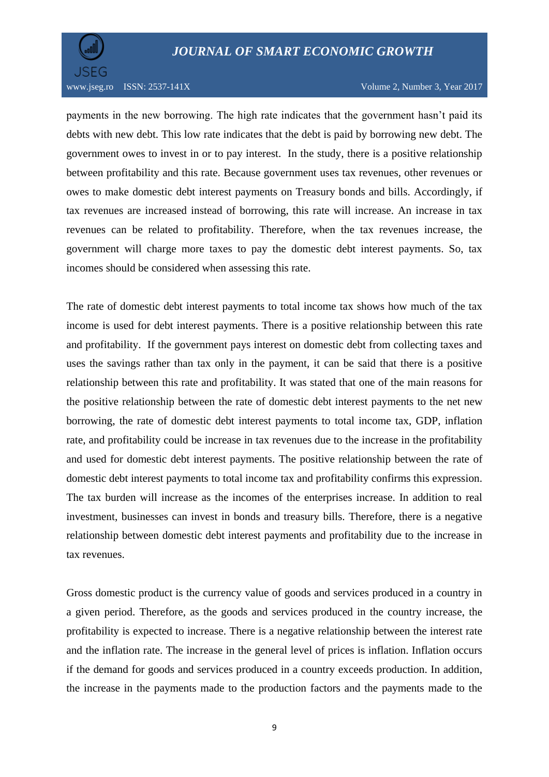

www.jseg.ro ISSN: 2537-141X Volume 2, Number 3, Year 2017

payments in the new borrowing. The high rate indicates that the government hasn't paid its debts with new debt. This low rate indicates that the debt is paid by borrowing new debt. The government owes to invest in or to pay interest. In the study, there is a positive relationship between profitability and this rate. Because government uses tax revenues, other revenues or owes to make domestic debt interest payments on Treasury bonds and bills. Accordingly, if tax revenues are increased instead of borrowing, this rate will increase. An increase in tax revenues can be related to profitability. Therefore, when the tax revenues increase, the government will charge more taxes to pay the domestic debt interest payments. So, tax incomes should be considered when assessing this rate.

The rate of domestic debt interest payments to total income tax shows how much of the tax income is used for debt interest payments. There is a positive relationship between this rate and profitability. If the government pays interest on domestic debt from collecting taxes and uses the savings rather than tax only in the payment, it can be said that there is a positive relationship between this rate and profitability. It was stated that one of the main reasons for the positive relationship between the rate of domestic debt interest payments to the net new borrowing, the rate of domestic debt interest payments to total income tax, GDP, inflation rate, and profitability could be increase in tax revenues due to the increase in the profitability and used for domestic debt interest payments. The positive relationship between the rate of domestic debt interest payments to total income tax and profitability confirms this expression. The tax burden will increase as the incomes of the enterprises increase. In addition to real investment, businesses can invest in bonds and treasury bills. Therefore, there is a negative relationship between domestic debt interest payments and profitability due to the increase in tax revenues.

Gross domestic product is the currency value of goods and services produced in a country in a given period. Therefore, as the goods and services produced in the country increase, the profitability is expected to increase. There is a negative relationship between the interest rate and the inflation rate. The increase in the general level of prices is inflation. Inflation occurs if the demand for goods and services produced in a country exceeds production. In addition, the increase in the payments made to the production factors and the payments made to the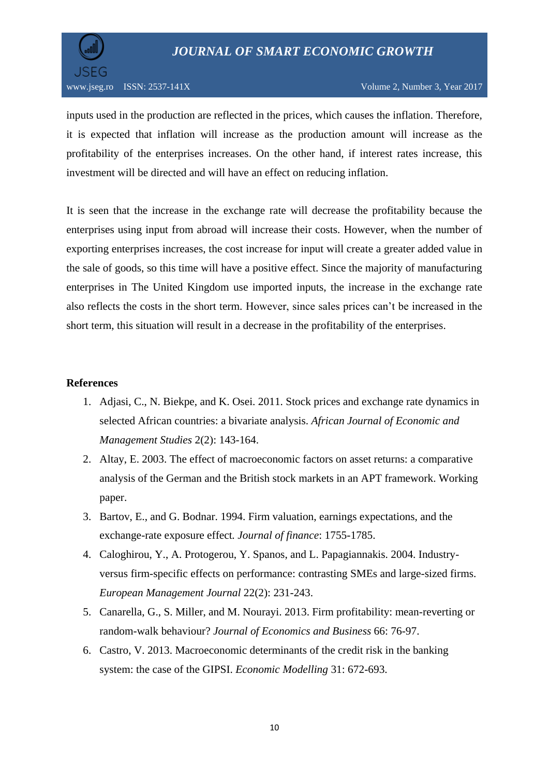

inputs used in the production are reflected in the prices, which causes the inflation. Therefore, it is expected that inflation will increase as the production amount will increase as the profitability of the enterprises increases. On the other hand, if interest rates increase, this investment will be directed and will have an effect on reducing inflation.

It is seen that the increase in the exchange rate will decrease the profitability because the enterprises using input from abroad will increase their costs. However, when the number of exporting enterprises increases, the cost increase for input will create a greater added value in the sale of goods, so this time will have a positive effect. Since the majority of manufacturing enterprises in The United Kingdom use imported inputs, the increase in the exchange rate also reflects the costs in the short term. However, since sales prices can't be increased in the short term, this situation will result in a decrease in the profitability of the enterprises.

## **References**

- 1. Adjasi, C., N. Biekpe, and K. Osei. 2011. Stock prices and exchange rate dynamics in selected African countries: a bivariate analysis. *African Journal of Economic and Management Studies* 2(2): 143-164.
- 2. Altay, E. 2003. The effect of macroeconomic factors on asset returns: a comparative analysis of the German and the British stock markets in an APT framework. Working paper.
- 3. Bartov, E., and G. Bodnar. 1994. Firm valuation, earnings expectations, and the exchange-rate exposure effect*. Journal of finance*: 1755-1785.
- 4. Caloghirou, Y., A. Protogerou, Y. Spanos, and L. Papagiannakis. 2004. Industryversus firm-specific effects on performance: contrasting SMEs and large-sized firms. *European Management Journal* 22(2): 231-243.
- 5. Canarella, G., S. Miller, and M. Nourayi. 2013. Firm profitability: mean-reverting or random-walk behaviour? *Journal of Economics and Business* 66: 76-97.
- 6. Castro, V. 2013. Macroeconomic determinants of the credit risk in the banking system: the case of the GIPSI. *Economic Modelling* 31: 672-693.